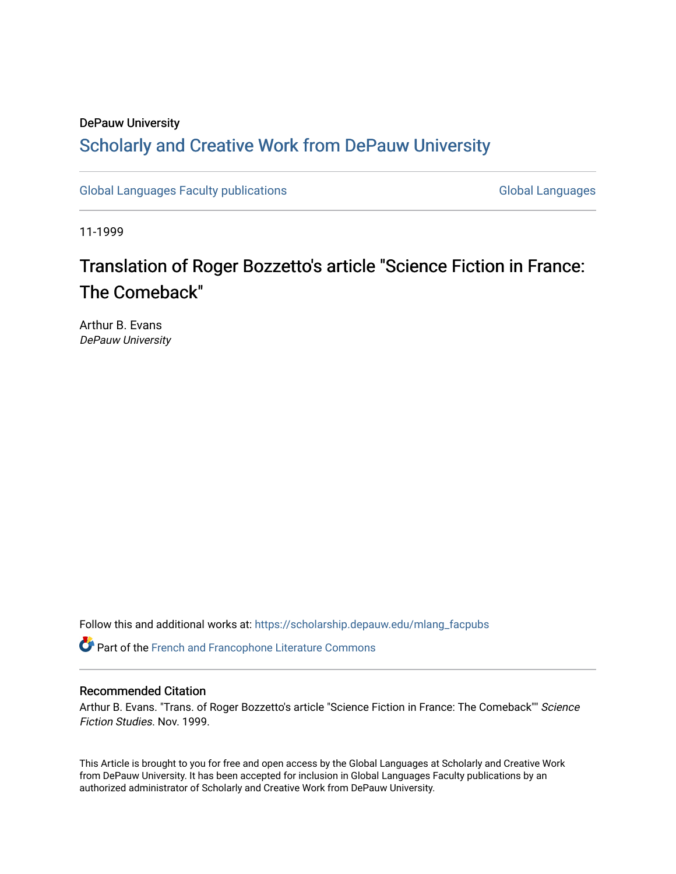## DePauw University Scholarly and [Creative Work from DePauw Univ](https://scholarship.depauw.edu/)ersity

[Global Languages Faculty publications](https://scholarship.depauw.edu/mlang_facpubs) [Global Languages](https://scholarship.depauw.edu/modernlanguages) Global Languages

11-1999

# Translation of Roger Bozzetto's article "Science Fiction in France: The Comeback"

Arthur B. Evans DePauw University

Follow this and additional works at: [https://scholarship.depauw.edu/mlang\\_facpubs](https://scholarship.depauw.edu/mlang_facpubs?utm_source=scholarship.depauw.edu%2Fmlang_facpubs%2F24&utm_medium=PDF&utm_campaign=PDFCoverPages)

Part of the [French and Francophone Literature Commons](https://network.bepress.com/hgg/discipline/465?utm_source=scholarship.depauw.edu%2Fmlang_facpubs%2F24&utm_medium=PDF&utm_campaign=PDFCoverPages) 

### Recommended Citation

Arthur B. Evans. "Trans. of Roger Bozzetto's article "Science Fiction in France: The Comeback"" Science Fiction Studies. Nov. 1999.

This Article is brought to you for free and open access by the Global Languages at Scholarly and Creative Work from DePauw University. It has been accepted for inclusion in Global Languages Faculty publications by an authorized administrator of Scholarly and Creative Work from DePauw University.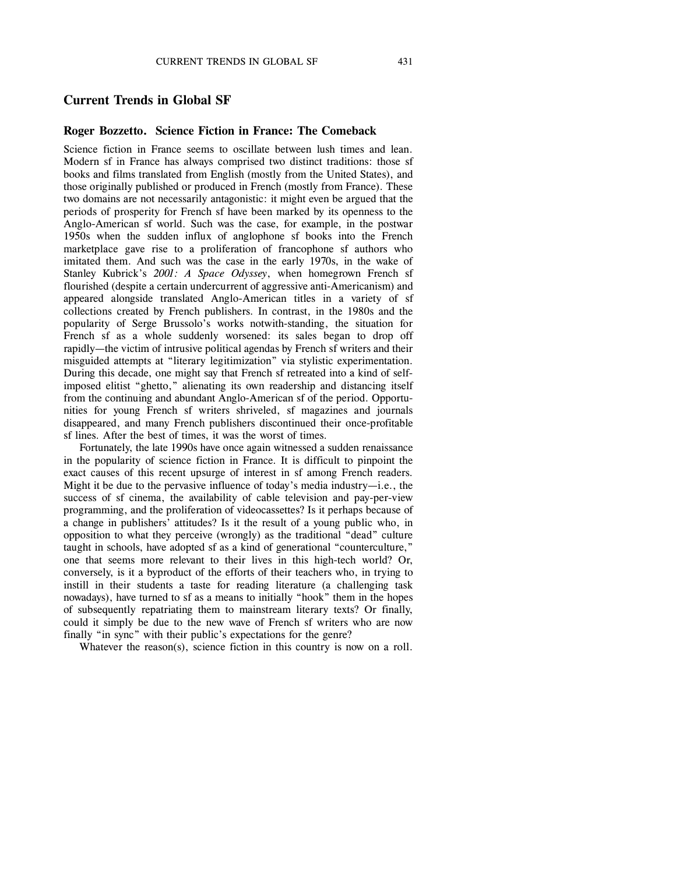#### **Current Trends in Global SF**

#### **Roger Bozzetto. Science Fiction in France: The Comeback**

Science fiction in France seems to oscillate between lush times and lean. Modern sf in France has always comprised two distinct traditions: those sf books and films translated from English (mostly from the United States), and those originally published or produced in French (mostly from France). These two domains are not necessarily antagonistic: it might even be argued that the periods of prosperity for French sf have been marked by its openness to the Anglo-American sf world. Such was the case, for example, in the postwar 1950s when the sudden influx of anglophone sf books into the French marketplace gave rise to a proliferation of francophone sf authors who imitated them. And such was the case in the early 1970s, in the wake of Stanley Kubrick's *2001: A Space Odyssey*, when homegrown French sf flourished (despite a certain undercurrent of aggressive anti-Americanism) and appeared alongside translated Anglo-American titles in a variety of sf collections created by French publishers. In contrast, in the 1980s and the popularity of Serge Brussolo's works notwith-standing, the situation for French sf as a whole suddenly worsened: its sales began to drop off rapidly—the victim of intrusive political agendas by French sf writers and their misguided attempts at "literary legitimization" via stylistic experimentation. During this decade, one might say that French sf retreated into a kind of selfimposed elitist "ghetto," alienating its own readership and distancing itself from the continuing and abundant Anglo-American sf of the period. Opportunities for young French sf writers shriveled, sf magazines and journals disappeared, and many French publishers discontinued their once-profitable sf lines. After the best of times, it was the worst of times.

Fortunately, the late 1990s have once again witnessed a sudden renaissance in the popularity of science fiction in France. It is difficult to pinpoint the exact causes of this recent upsurge of interest in sf among French readers. Might it be due to the pervasive influence of today's media industry—i.e., the success of sf cinema, the availability of cable television and pay-per-view programming, and the proliferation of videocassettes? Is it perhaps because of a change in publishers' attitudes? Is it the result of a young public who, in opposition to what they perceive (wrongly) as the traditional "dead" culture taught in schools, have adopted sf as a kind of generational "counterculture," one that seems more relevant to their lives in this high-tech world? Or, conversely, is it a byproduct of the efforts of their teachers who, in trying to instill in their students a taste for reading literature (a challenging task nowadays), have turned to sf as a means to initially "hook" them in the hopes of subsequently repatriating them to mainstream literary texts? Or finally, could it simply be due to the new wave of French sf writers who are now finally "in sync" with their public's expectations for the genre?

Whatever the reason(s), science fiction in this country is now on a roll.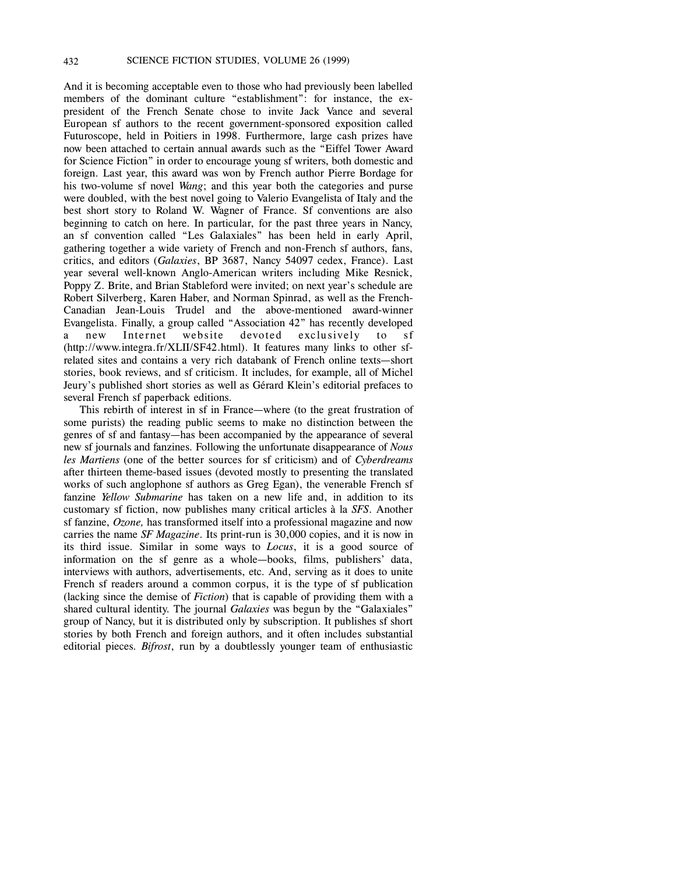And it is becoming acceptable even to those who had previously been labelled members of the dominant culture "establishment": for instance, the expresident of the French Senate chose to invite Jack Vance and several European sf authors to the recent government-sponsored exposition called Futuroscope, held in Poitiers in 1998. Furthermore, large cash prizes have now been attached to certain annual awards such as the "Eiffel Tower Award for Science Fiction" in order to encourage young sf writers, both domestic and foreign. Last year, this award was won by French author Pierre Bordage for his two-volume sf novel *Wang*; and this year both the categories and purse were doubled, with the best novel going to Valerio Evangelista of Italy and the best short story to Roland W. Wagner of France. Sf conventions are also beginning to catch on here. In particular, for the past three years in Nancy, an sf convention called "Les Galaxiales" has been held in early April, gathering together a wide variety of French and non-French sf authors, fans, critics, and editors (*Galaxies*, BP 3687, Nancy 54097 cedex, France). Last year several well-known Anglo-American writers including Mike Resnick, Poppy Z. Brite, and Brian Stableford were invited; on next year's schedule are Robert Silverberg, Karen Haber, and Norman Spinrad, as well as the French-Canadian Jean-Louis Trudel and the above-mentioned award-winner Evangelista. Finally, a group called "Association 42" has recently developed a new Internet website devoted exclusively to sf (http://www.integra.fr/XLII/SF42.html). It features many links to other sfrelated sites and contains a very rich databank of French online texts—short stories, book reviews, and sf criticism. It includes, for example, all of Michel Jeury's published short stories as well as Gérard Klein's editorial prefaces to several French sf paperback editions.

This rebirth of interest in sf in France—where (to the great frustration of some purists) the reading public seems to make no distinction between the genres of sf and fantasy—has been accompanied by the appearance of several new sf journals and fanzines. Following the unfortunate disappearance of *Nous les Martiens* (one of the better sources for sf criticism) and of *Cyberdreams* after thirteen theme-based issues (devoted mostly to presenting the translated works of such anglophone sf authors as Greg Egan), the venerable French sf fanzine *Yellow Submarine* has taken on a new life and, in addition to its customary sf fiction, now publishes many critical articles à la *SFS*. Another sf fanzine, *Ozone,* has transformed itself into a professional magazine and now carries the name *SF Magazine*. Its print-run is 30,000 copies, and it is now in its third issue. Similar in some ways to *Locus*, it is a good source of information on the sf genre as a whole—books, films, publishers' data, interviews with authors, advertisements, etc. And, serving as it does to unite French sf readers around a common corpus, it is the type of sf publication (lacking since the demise of *Fiction*) that is capable of providing them with a shared cultural identity. The journal *Galaxies* was begun by the "Galaxiales" group of Nancy, but it is distributed only by subscription. It publishes sf short stories by both French and foreign authors, and it often includes substantial editorial pieces. *Bifrost*, run by a doubtlessly younger team of enthusiastic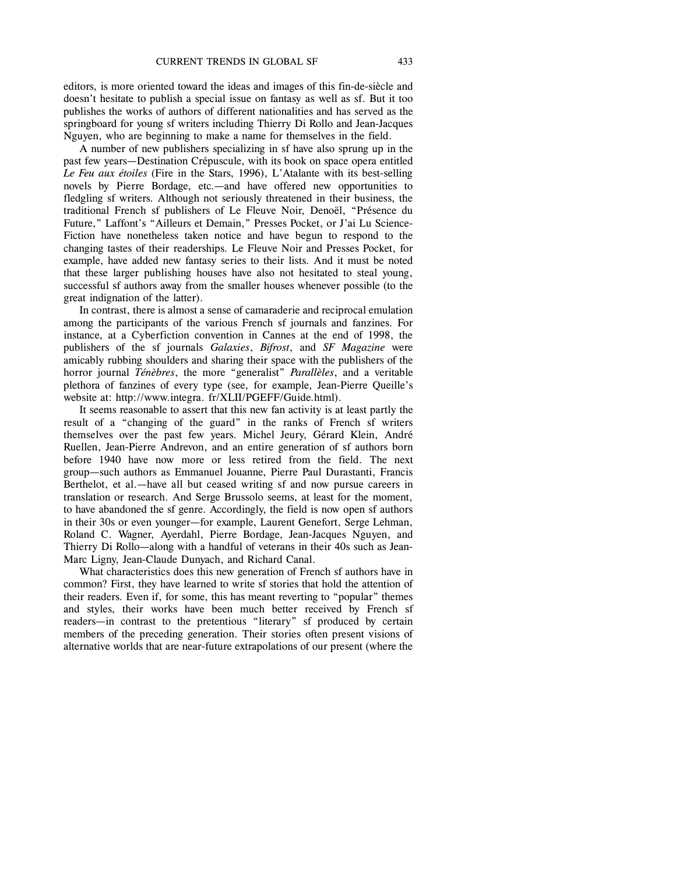editors, is more oriented toward the ideas and images of this fin-de-siècle and doesn't hesitate to publish a special issue on fantasy as well as sf. But it too publishes the works of authors of different nationalities and has served as the springboard for young sf writers including Thierry Di Rollo and Jean-Jacques Nguyen, who are beginning to make a name for themselves in the field.

A number of new publishers specializing in sf have also sprung up in the past few years—Destination Crépuscule, with its book on space opera entitled *Le Feu aux étoiles* (Fire in the Stars, 1996), L'Atalante with its best-selling novels by Pierre Bordage, etc.—and have offered new opportunities to fledgling sf writers. Although not seriously threatened in their business, the traditional French sf publishers of Le Fleuve Noir, Denoël, "Présence du Future," Laffont's "Ailleurs et Demain," Presses Pocket, or J'ai Lu Science-Fiction have nonetheless taken notice and have begun to respond to the changing tastes of their readerships. Le Fleuve Noir and Presses Pocket, for example, have added new fantasy series to their lists. And it must be noted that these larger publishing houses have also not hesitated to steal young, successful sf authors away from the smaller houses whenever possible (to the great indignation of the latter).

In contrast, there is almost a sense of camaraderie and reciprocal emulation among the participants of the various French sf journals and fanzines. For instance, at a Cyberfiction convention in Cannes at the end of 1998, the publishers of the sf journals *Galaxies*, *Bifrost*, and *SF Magazine* were amicably rubbing shoulders and sharing their space with the publishers of the horror journal *Ténèbres*, the more "generalist" *Parallèles*, and a veritable plethora of fanzines of every type (see, for example, Jean-Pierre Queille's website at: http://www.integra. fr/XLII/PGEFF/Guide.html).

It seems reasonable to assert that this new fan activity is at least partly the result of a "changing of the guard" in the ranks of French sf writers themselves over the past few years. Michel Jeury, Gérard Klein, André Ruellen, Jean-Pierre Andrevon, and an entire generation of sf authors born before 1940 have now more or less retired from the field. The next group—such authors as Emmanuel Jouanne, Pierre Paul Durastanti, Francis Berthelot, et al.—have all but ceased writing sf and now pursue careers in translation or research. And Serge Brussolo seems, at least for the moment, to have abandoned the sf genre. Accordingly, the field is now open sf authors in their 30s or even younger—for example, Laurent Genefort, Serge Lehman, Roland C. Wagner, Ayerdahl, Pierre Bordage, Jean-Jacques Nguyen, and Thierry Di Rollo—along with a handful of veterans in their 40s such as Jean-Marc Ligny, Jean-Claude Dunyach, and Richard Canal.

What characteristics does this new generation of French sf authors have in common? First, they have learned to write sf stories that hold the attention of their readers. Even if, for some, this has meant reverting to "popular" themes and styles, their works have been much better received by French sf readers—in contrast to the pretentious "literary" sf produced by certain members of the preceding generation. Their stories often present visions of alternative worlds that are near-future extrapolations of our present (where the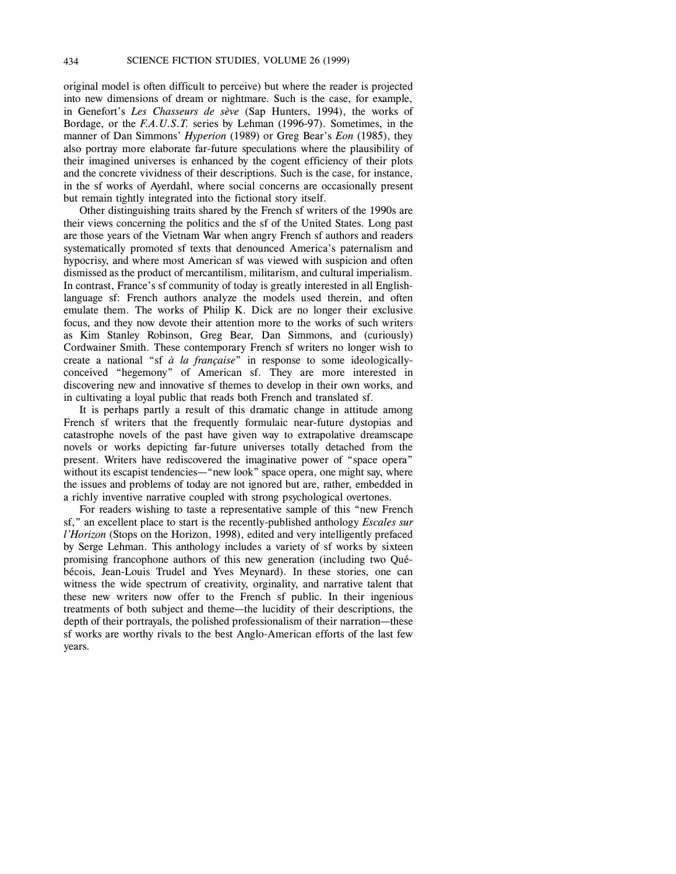original model is often difficult to perceive) but where the reader is projected into new dimensions of dream or nightmare. Such is the case, for example, in Genefort's *Les Chasseurs de sève* (Sap Hunters, 1994), the works of Bordage, or the *F.A.U.S.T.* series by Lehman (1996-97). Sometimes, in the manner of Dan Simmons' *Hyperion* (1989) or Greg Bear's *Eon* (1985), they also portray more elaborate far-future speculations where the plausibility of their imagined universes is enhanced by the cogent efficiency of their plots and the concrete vividness of their descriptions. Such is the case, for instance, in the sf works of Ayerdahl, where social concerns are occasionally present but remain tightly integrated into the fictional story itself.

Other distinguishing traits shared by the French sf writers of the 1990s are their views concerning the politics and the sf of the United States. Long past are those years of the Vietnam War when angry French sf authors and readers systematically promoted sf texts that denounced America's paternalism and hypocrisy, and where most American sf was viewed with suspicion and often dismissed as the product of mercantilism, militarism, and cultural imperialism. In contrast, France's sf community of today is greatly interested in all Englishlanguage sf: French authors analyze the models used therein, and often emulate them. The works of Philip K. Dick are no longer their exclusive focus, and they now devote their attention more to the works of such writers as Kim Stanley Robinson, Greg Bear, Dan Simmons, and (curiously) Cordwainer Smith. These contemporary French sf writers no longer wish to create a national "sf *à la française*" in response to some ideologicallyconceived "hegemony" of American sf. They are more interested in discovering new and innovative sf themes to develop in their own works, and in cultivating a loyal public that reads both French and translated sf.

It is perhaps partly a result of this dramatic change in attitude among French sf writers that the frequently formulaic near-future dystopias and catastrophe novels of the past have given way to extrapolative dreamscape novels or works depicting far-future universes totally detached from the present. Writers have rediscovered the imaginative power of "space opera" without its escapist tendencies—"new look" space opera, one might say, where the issues and problems of today are not ignored but are, rather, embedded in a richly inventive narrative coupled with strong psychological overtones.

For readers wishing to taste a representative sample of this "new French sf," an excellent place to start is the recently-published anthology *Escales sur l'Horizon* (Stops on the Horizon, 1998), edited and very intelligently prefaced by Serge Lehman. This anthology includes a variety of sf works by sixteen promising francophone authors of this new generation (including two Québécois, Jean-Louis Trudel and Yves Meynard). In these stories, one can witness the wide spectrum of creativity, orginality, and narrative talent that these new writers now offer to the French sf public. In their ingenious treatments of both subject and theme—the lucidity of their descriptions, the depth of their portrayals, the polished professionalism of their narration—these sf works are worthy rivals to the best Anglo-American efforts of the last few years.